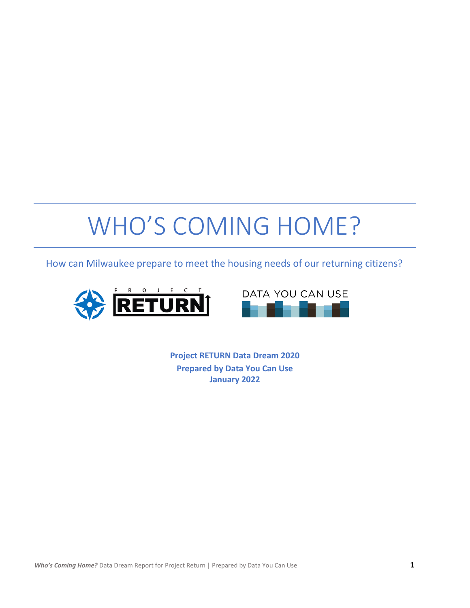# WHO'S COMING HOME?

How can Milwaukee prepare to meet the housing needs of our returning citizens?





**Project RETURN Data Dream 2020 Prepared by Data You Can Use January 2022**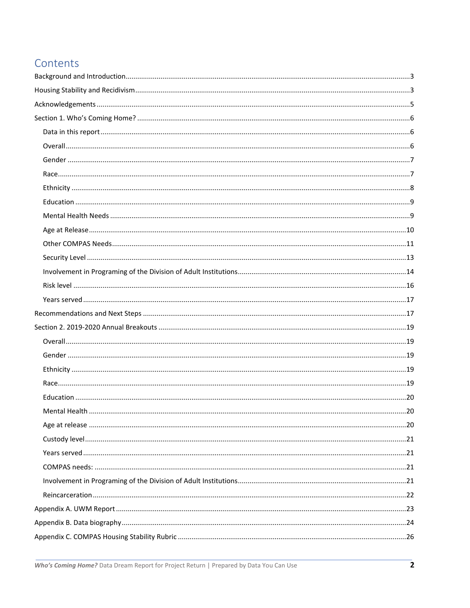# Contents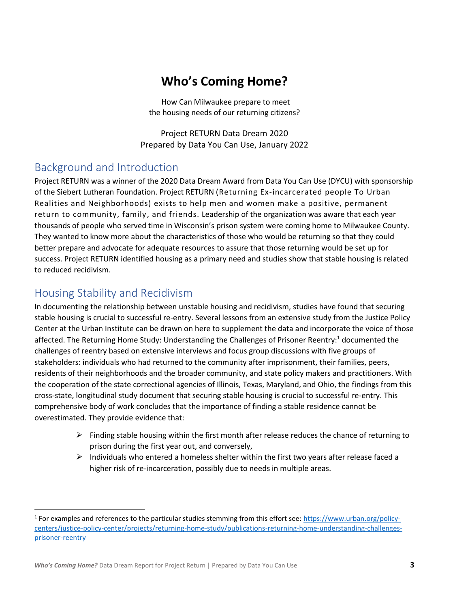# **Who's Coming Home?**

How Can Milwaukee prepare to meet the housing needs of our returning citizens?

Project RETURN Data Dream 2020 Prepared by Data You Can Use, January 2022

## <span id="page-2-0"></span>Background and Introduction

Project RETURN was a winner of the 2020 Data Dream Award from Data You Can Use (DYCU) with sponsorship of the Siebert Lutheran Foundation. Project RETURN (Returning Ex-incarcerated people To Urban Realities and Neighborhoods) exists to help men and women make a positive, permanent return to community, family, and friends. Leadership of the organization was aware that each year thousands of people who served time in Wisconsin's prison system were coming home to Milwaukee County. They wanted to know more about the characteristics of those who would be returning so that they could better prepare and advocate for adequate resources to assure that those returning would be set up for success. Project RETURN identified housing as a primary need and studies show that stable housing is related to reduced recidivism.

## <span id="page-2-1"></span>Housing Stability and Recidivism

In documenting the relationship between unstable housing and recidivism, studies have found that securing stable housing is crucial to successful re-entry. Several lessons from an extensive study from the Justice Policy Center at the Urban Institute can be drawn on here to supplement the data and incorporate the voice of those affected. The Returning Home Study: Understanding the Challenges of Prisoner Reentry:<sup>1</sup> documented the challenges of reentry based on extensive interviews and focus group discussions with five groups of stakeholders: individuals who had returned to the community after imprisonment, their families, peers, residents of their neighborhoods and the broader community, and state policy makers and practitioners. With the cooperation of the state correctional agencies of Illinois, Texas, Maryland, and Ohio, the findings from this cross-state, longitudinal study document that securing stable housing is crucial to successful re-entry. This comprehensive body of work concludes that the importance of finding a stable residence cannot be overestimated. They provide evidence that:

- $\triangleright$  Finding stable housing within the first month after release reduces the chance of returning to prison during the first year out, and conversely,
- $\triangleright$  Individuals who entered a homeless shelter within the first two years after release faced a higher risk of re-incarceration, possibly due to needs in multiple areas.

<sup>&</sup>lt;sup>1</sup> For examples and references to the particular studies stemming from this effort see: [https://www.urban.org/policy](https://www.urban.org/policy-centers/justice-policy-center/projects/returning-home-study/publications-returning-home-understanding-challenges-prisoner-reentry)[centers/justice-policy-center/projects/returning-home-study/publications-returning-home-understanding-challenges](https://www.urban.org/policy-centers/justice-policy-center/projects/returning-home-study/publications-returning-home-understanding-challenges-prisoner-reentry)[prisoner-reentry](https://www.urban.org/policy-centers/justice-policy-center/projects/returning-home-study/publications-returning-home-understanding-challenges-prisoner-reentry)

*Who's Coming Home?* Data Dream Report for Project Return | Prepared by Data You Can Use **3**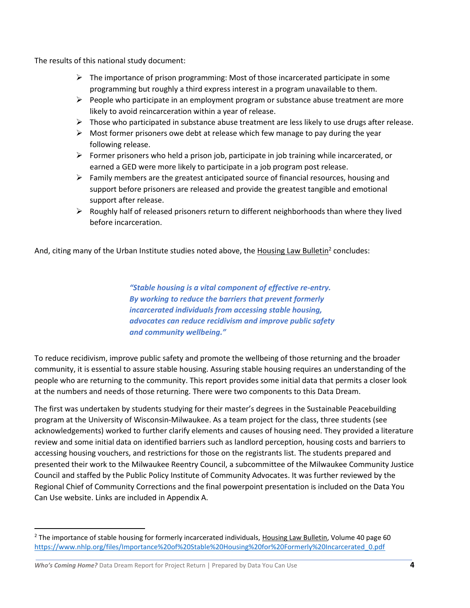The results of this national study document:

- $\triangleright$  The importance of prison programming: Most of those incarcerated participate in some programming but roughly a third express interest in a program unavailable to them.
- ➢ People who participate in an employment program or substance abuse treatment are more likely to avoid reincarceration within a year of release.
- $\triangleright$  Those who participated in substance abuse treatment are less likely to use drugs after release.
- $\triangleright$  Most former prisoners owe debt at release which few manage to pay during the year following release.
- $\triangleright$  Former prisoners who held a prison job, participate in job training while incarcerated, or earned a GED were more likely to participate in a job program post release.
- $\triangleright$  Family members are the greatest anticipated source of financial resources, housing and support before prisoners are released and provide the greatest tangible and emotional support after release.
- ➢ Roughly half of released prisoners return to different neighborhoods than where they lived before incarceration.

And, citing many of the Urban Institute studies noted above, the Housing Law Bulletin<sup>2</sup> concludes:

*"Stable housing is a vital component of effective re-entry. By working to reduce the barriers that prevent formerly incarcerated individuals from accessing stable housing, advocates can reduce recidivism and improve public safety and community wellbeing."*

To reduce recidivism, improve public safety and promote the wellbeing of those returning and the broader community, it is essential to assure stable housing. Assuring stable housing requires an understanding of the people who are returning to the community. This report provides some initial data that permits a closer look at the numbers and needs of those returning. There were two components to this Data Dream.

The first was undertaken by students studying for their master's degrees in the Sustainable Peacebuilding program at the University of Wisconsin-Milwaukee. As a team project for the class, three students (see acknowledgements) worked to further clarify elements and causes of housing need. They provided a literature review and some initial data on identified barriers such as landlord perception, housing costs and barriers to accessing housing vouchers, and restrictions for those on the registrants list. The students prepared and presented their work to the Milwaukee Reentry Council, a subcommittee of the Milwaukee Community Justice Council and staffed by the Public Policy Institute of Community Advocates. It was further reviewed by the Regional Chief of Community Corrections and the final powerpoint presentation is included on the Data You Can Use website. Links are included in Appendix A.

 $2$  The importance of stable housing for formerly incarcerated individuals, Housing Law Bulletin, Volume 40 page 60 [https://www.nhlp.org/files/Importance%20of%20Stable%20Housing%20for%20Formerly%20Incarcerated\\_0.pdf](https://www.nhlp.org/files/Importance%20of%20Stable%20Housing%20for%20Formerly%20Incarcerated_0.pdf)

*Who's Coming Home?* Data Dream Report for Project Return | Prepared by Data You Can Use **4**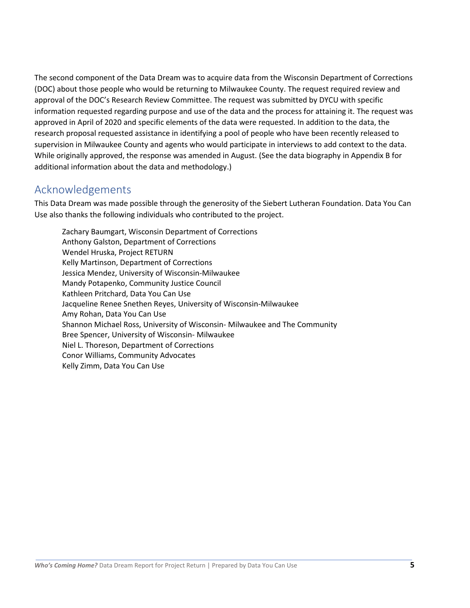The second component of the Data Dream was to acquire data from the Wisconsin Department of Corrections (DOC) about those people who would be returning to Milwaukee County. The request required review and approval of the DOC's Research Review Committee. The request was submitted by DYCU with specific information requested regarding purpose and use of the data and the process for attaining it. The request was approved in April of 2020 and specific elements of the data were requested. In addition to the data, the research proposal requested assistance in identifying a pool of people who have been recently released to supervision in Milwaukee County and agents who would participate in interviews to add context to the data. While originally approved, the response was amended in August. (See the data biography in Appendix B for additional information about the data and methodology.)

## <span id="page-4-0"></span>Acknowledgements

This Data Dream was made possible through the generosity of the Siebert Lutheran Foundation. Data You Can Use also thanks the following individuals who contributed to the project.

Zachary Baumgart, Wisconsin Department of Corrections Anthony Galston, Department of Corrections Wendel Hruska, Project RETURN Kelly Martinson, Department of Corrections Jessica Mendez, University of Wisconsin-Milwaukee Mandy Potapenko, Community Justice Council Kathleen Pritchard, Data You Can Use Jacqueline Renee Snethen Reyes, University of Wisconsin-Milwaukee Amy Rohan, Data You Can Use Shannon Michael Ross, University of Wisconsin- Milwaukee and The Community Bree Spencer, University of Wisconsin- Milwaukee Niel L. Thoreson, Department of Corrections Conor Williams, Community Advocates Kelly Zimm, Data You Can Use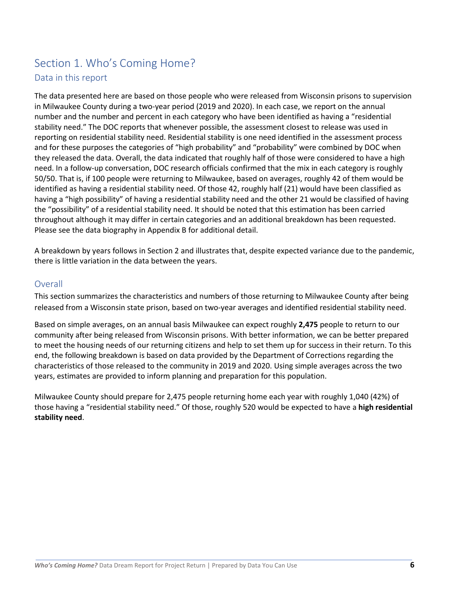## <span id="page-5-1"></span><span id="page-5-0"></span>Section 1. Who's Coming Home? Data in this report

The data presented here are based on those people who were released from Wisconsin prisons to supervision in Milwaukee County during a two-year period (2019 and 2020). In each case, we report on the annual number and the number and percent in each category who have been identified as having a "residential stability need." The DOC reports that whenever possible, the assessment closest to release was used in reporting on residential stability need. Residential stability is one need identified in the assessment process and for these purposes the categories of "high probability" and "probability" were combined by DOC when they released the data. Overall, the data indicated that roughly half of those were considered to have a high need. In a follow-up conversation, DOC research officials confirmed that the mix in each category is roughly 50/50. That is, if 100 people were returning to Milwaukee, based on averages, roughly 42 of them would be identified as having a residential stability need. Of those 42, roughly half (21) would have been classified as having a "high possibility" of having a residential stability need and the other 21 would be classified of having the "possibility" of a residential stability need. It should be noted that this estimation has been carried throughout although it may differ in certain categories and an additional breakdown has been requested. Please see the data biography in Appendix B for additional detail.

A breakdown by years follows in Section 2 and illustrates that, despite expected variance due to the pandemic, there is little variation in the data between the years.

### <span id="page-5-2"></span>**Overall**

This section summarizes the characteristics and numbers of those returning to Milwaukee County after being released from a Wisconsin state prison, based on two-year averages and identified residential stability need.

Based on simple averages, on an annual basis Milwaukee can expect roughly **2,475** people to return to our community after being released from Wisconsin prisons. With better information, we can be better prepared to meet the housing needs of our returning citizens and help to set them up for success in their return. To this end, the following breakdown is based on data provided by the Department of Corrections regarding the characteristics of those released to the community in 2019 and 2020. Using simple averages across the two years, estimates are provided to inform planning and preparation for this population.

Milwaukee County should prepare for 2,475 people returning home each year with roughly 1,040 (42%) of those having a "residential stability need." Of those, roughly 520 would be expected to have a **high residential stability need**.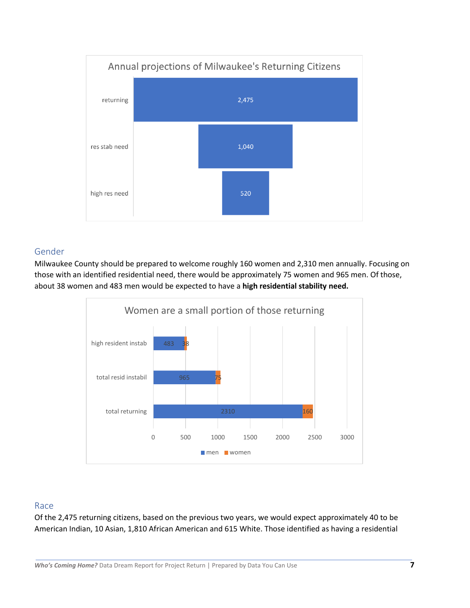

### <span id="page-6-0"></span>Gender

Milwaukee County should be prepared to welcome roughly 160 women and 2,310 men annually. Focusing on those with an identified residential need, there would be approximately 75 women and 965 men. Of those, about 38 women and 483 men would be expected to have a **high residential stability need.**



### <span id="page-6-1"></span>Race

Of the 2,475 returning citizens, based on the previous two years, we would expect approximately 40 to be American Indian, 10 Asian, 1,810 African American and 615 White. Those identified as having a residential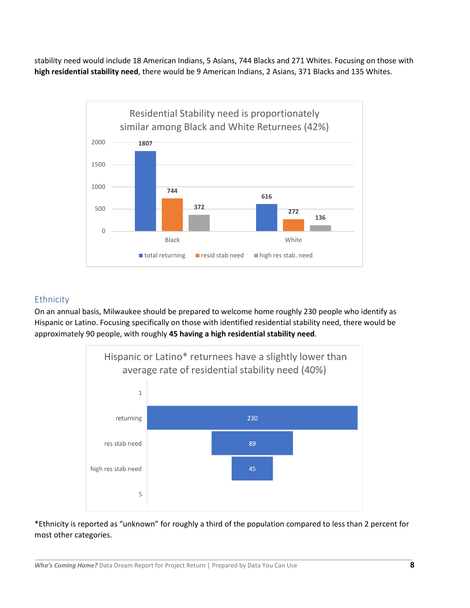stability need would include 18 American Indians, 5 Asians, 744 Blacks and 271 Whites. Focusing on those with **high residential stability need**, there would be 9 American Indians, 2 Asians, 371 Blacks and 135 Whites.



## <span id="page-7-0"></span>**Ethnicity**

On an annual basis, Milwaukee should be prepared to welcome home roughly 230 people who identify as Hispanic or Latino. Focusing specifically on those with identified residential stability need, there would be approximately 90 people, with roughly **45 having a high residential stability need**.



\*Ethnicity is reported as "unknown" for roughly a third of the population compared to less than 2 percent for most other categories.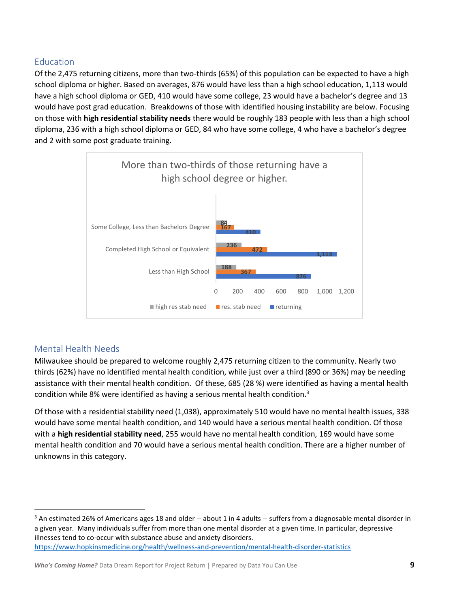## <span id="page-8-0"></span>Education

Of the 2,475 returning citizens, more than two-thirds (65%) of this population can be expected to have a high school diploma or higher. Based on averages, 876 would have less than a high school education, 1,113 would have a high school diploma or GED, 410 would have some college, 23 would have a bachelor's degree and 13 would have post grad education. Breakdowns of those with identified housing instability are below. Focusing on those with **high residential stability needs** there would be roughly 183 people with less than a high school diploma, 236 with a high school diploma or GED, 84 who have some college, 4 who have a bachelor's degree and 2 with some post graduate training.



## <span id="page-8-1"></span>Mental Health Needs

Milwaukee should be prepared to welcome roughly 2,475 returning citizen to the community. Nearly two thirds (62%) have no identified mental health condition, while just over a third (890 or 36%) may be needing assistance with their mental health condition. Of these, 685 (28 %) were identified as having a mental health condition while 8% were identified as having a serious mental health condition. $3$ 

Of those with a residential stability need (1,038), approximately 510 would have no mental health issues, 338 would have some mental health condition, and 140 would have a serious mental health condition. Of those with a **high residential stability need**, 255 would have no mental health condition, 169 would have some mental health condition and 70 would have a serious mental health condition. There are a higher number of unknowns in this category.

 $3$  An estimated 26% of Americans ages 18 and older  $-$  about 1 in 4 adults  $-$  suffers from a diagnosable mental disorder in a given year. Many individuals suffer from more than one mental disorder at a given time. In particular, depressive illnesses tend to co-occur with substance abuse and anxiety disorders. <https://www.hopkinsmedicine.org/health/wellness-and-prevention/mental-health-disorder-statistics>

*Who's Coming Home?* Data Dream Report for Project Return | Prepared by Data You Can Use **9**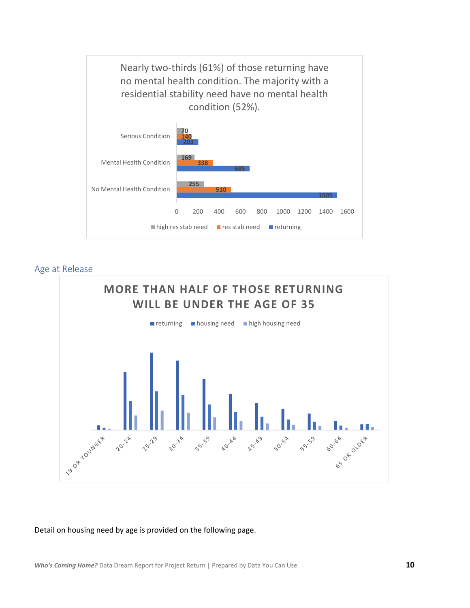

### <span id="page-9-0"></span>Age at Release



#### Detail on housing need by age is provided on the following page.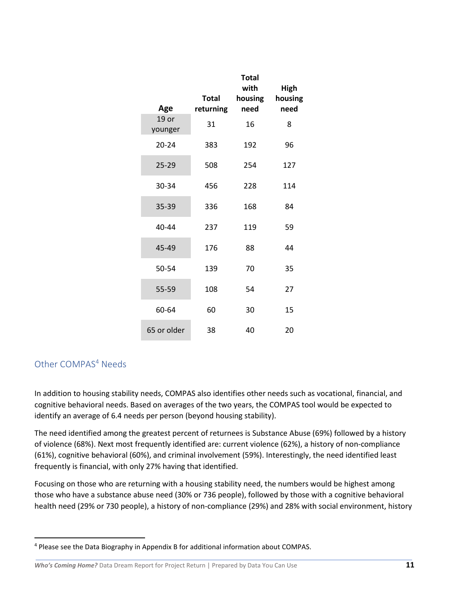| Age                | <b>Total</b><br>returning | <b>Total</b><br>with<br>housing<br>need | <b>High</b><br>housing<br>need |
|--------------------|---------------------------|-----------------------------------------|--------------------------------|
| $19$ or<br>younger | 31                        | 16                                      | 8                              |
| $20 - 24$          | 383                       | 192                                     | 96                             |
| 25-29              | 508                       | 254                                     | 127                            |
| 30-34              | 456                       | 228                                     | 114                            |
| 35-39              | 336                       | 168                                     | 84                             |
| 40-44              | 237                       | 119                                     | 59                             |
| 45-49              | 176                       | 88                                      | 44                             |
| 50-54              | 139                       | 70                                      | 35                             |
| 55-59              | 108                       | 54                                      | 27                             |
| 60-64              | 60                        | 30                                      | 15                             |
| 65 or older        | 38                        | 40                                      | 20                             |

## <span id="page-10-0"></span>Other COMPAS<sup>4</sup> Needs

In addition to housing stability needs, COMPAS also identifies other needs such as vocational, financial, and cognitive behavioral needs. Based on averages of the two years, the COMPAS tool would be expected to identify an average of 6.4 needs per person (beyond housing stability).

The need identified among the greatest percent of returnees is Substance Abuse (69%) followed by a history of violence (68%). Next most frequently identified are: current violence (62%), a history of non-compliance (61%), cognitive behavioral (60%), and criminal involvement (59%). Interestingly, the need identified least frequently is financial, with only 27% having that identified.

Focusing on those who are returning with a housing stability need, the numbers would be highest among those who have a substance abuse need (30% or 736 people), followed by those with a cognitive behavioral health need (29% or 730 people), a history of non-compliance (29%) and 28% with social environment, history

<sup>4</sup> Please see the Data Biography in Appendix B for additional information about COMPAS.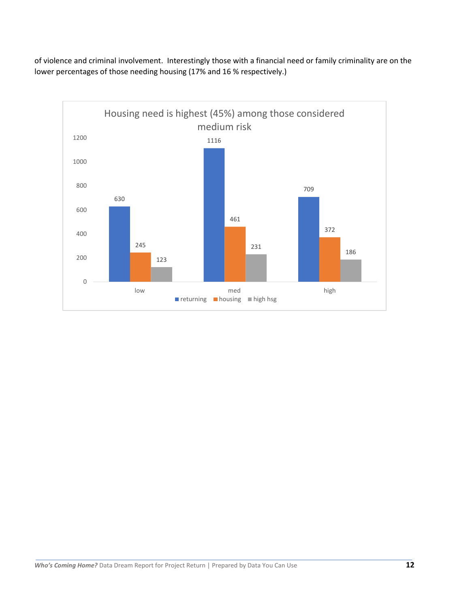of violence and criminal involvement. Interestingly those with a financial need or family criminality are on the lower percentages of those needing housing (17% and 16 % respectively.)

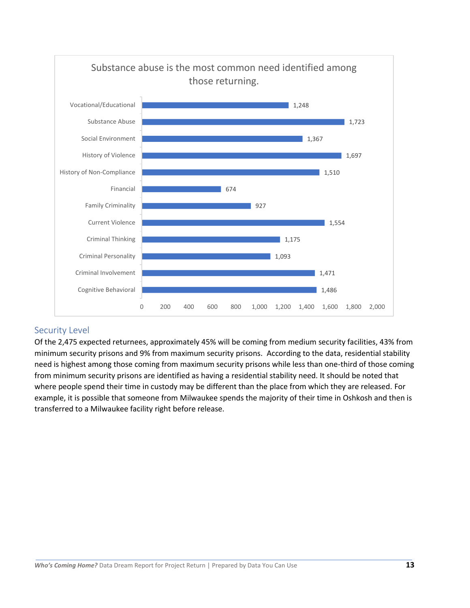

## <span id="page-12-0"></span>Security Level

Of the 2,475 expected returnees, approximately 45% will be coming from medium security facilities, 43% from minimum security prisons and 9% from maximum security prisons. According to the data, residential stability need is highest among those coming from maximum security prisons while less than one-third of those coming from minimum security prisons are identified as having a residential stability need. It should be noted that where people spend their time in custody may be different than the place from which they are released. For example, it is possible that someone from Milwaukee spends the majority of their time in Oshkosh and then is transferred to a Milwaukee facility right before release.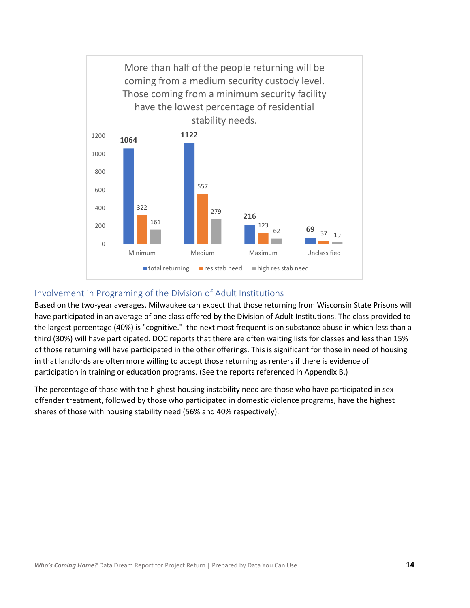

## <span id="page-13-0"></span>Involvement in Programing of the Division of Adult Institutions

Based on the two-year averages, Milwaukee can expect that those returning from Wisconsin State Prisons will have participated in an average of one class offered by the Division of Adult Institutions. The class provided to the largest percentage (40%) is "cognitive." the next most frequent is on substance abuse in which less than a third (30%) will have participated. DOC reports that there are often waiting lists for classes and less than 15% of those returning will have participated in the other offerings. This is significant for those in need of housing in that landlords are often more willing to accept those returning as renters if there is evidence of participation in training or education programs. (See the reports referenced in Appendix B.)

The percentage of those with the highest housing instability need are those who have participated in sex offender treatment, followed by those who participated in domestic violence programs, have the highest shares of those with housing stability need (56% and 40% respectively).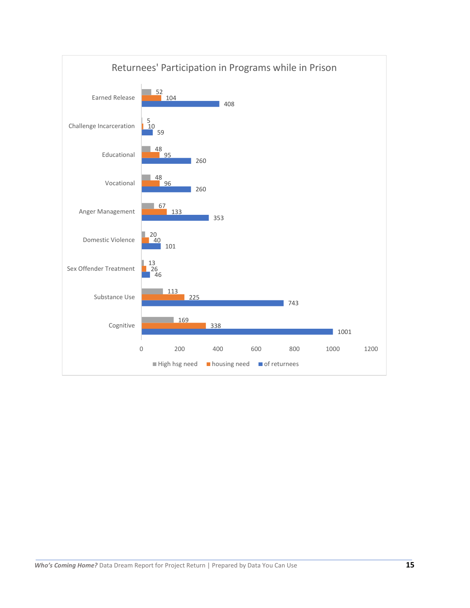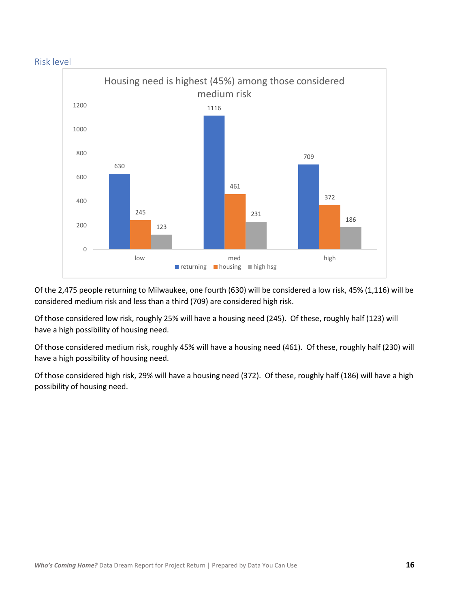<span id="page-15-0"></span>



Of the 2,475 people returning to Milwaukee, one fourth (630) will be considered a low risk, 45% (1,116) will be considered medium risk and less than a third (709) are considered high risk.

Of those considered low risk, roughly 25% will have a housing need (245). Of these, roughly half (123) will have a high possibility of housing need.

Of those considered medium risk, roughly 45% will have a housing need (461). Of these, roughly half (230) will have a high possibility of housing need.

Of those considered high risk, 29% will have a housing need (372). Of these, roughly half (186) will have a high possibility of housing need.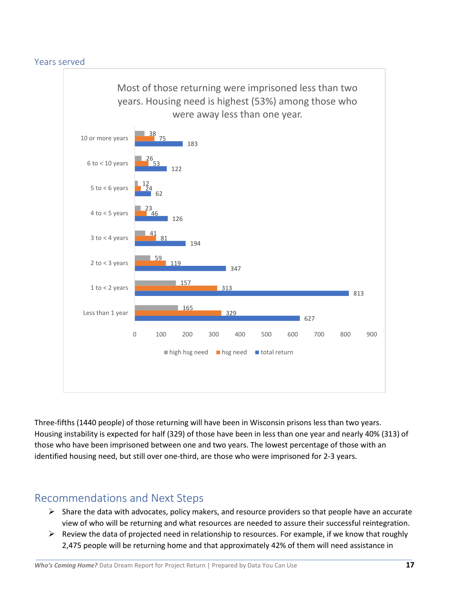<span id="page-16-0"></span>

Three-fifths (1440 people) of those returning will have been in Wisconsin prisons less than two years. Housing instability is expected for half (329) of those have been in less than one year and nearly 40% (313) of those who have been imprisoned between one and two years. The lowest percentage of those with an identified housing need, but still over one-third, are those who were imprisoned for 2-3 years.

## <span id="page-16-1"></span>Recommendations and Next Steps

- $\triangleright$  Share the data with advocates, policy makers, and resource providers so that people have an accurate view of who will be returning and what resources are needed to assure their successful reintegration.
- $\triangleright$  Review the data of projected need in relationship to resources. For example, if we know that roughly 2,475 people will be returning home and that approximately 42% of them will need assistance in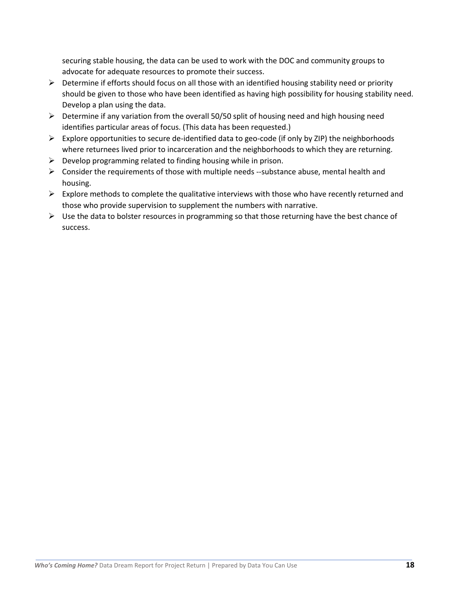securing stable housing, the data can be used to work with the DOC and community groups to advocate for adequate resources to promote their success.

- $\triangleright$  Determine if efforts should focus on all those with an identified housing stability need or priority should be given to those who have been identified as having high possibility for housing stability need. Develop a plan using the data.
- $\triangleright$  Determine if any variation from the overall 50/50 split of housing need and high housing need identifies particular areas of focus. (This data has been requested.)
- $\triangleright$  Explore opportunities to secure de-identified data to geo-code (if only by ZIP) the neighborhoods where returnees lived prior to incarceration and the neighborhoods to which they are returning.
- $\triangleright$  Develop programming related to finding housing while in prison.
- $\triangleright$  Consider the requirements of those with multiple needs --substance abuse, mental health and housing.
- $\triangleright$  Explore methods to complete the qualitative interviews with those who have recently returned and those who provide supervision to supplement the numbers with narrative.
- $\triangleright$  Use the data to bolster resources in programming so that those returning have the best chance of success.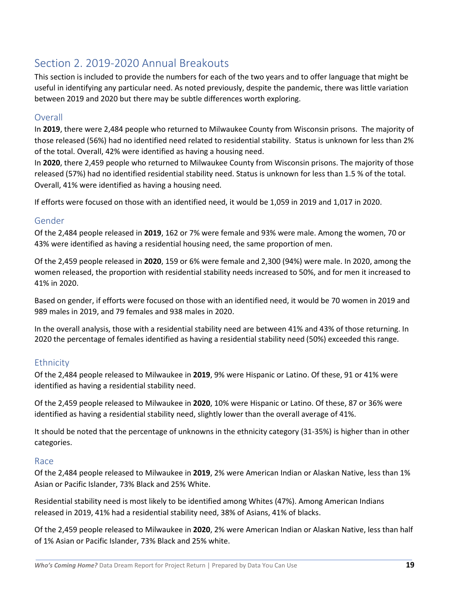## <span id="page-18-0"></span>Section 2. 2019-2020 Annual Breakouts

This section is included to provide the numbers for each of the two years and to offer language that might be useful in identifying any particular need. As noted previously, despite the pandemic, there was little variation between 2019 and 2020 but there may be subtle differences worth exploring.

#### <span id="page-18-1"></span>**Overall**

In **2019**, there were 2,484 people who returned to Milwaukee County from Wisconsin prisons. The majority of those released (56%) had no identified need related to residential stability. Status is unknown for less than 2% of the total. Overall, 42% were identified as having a housing need.

In **2020**, there 2,459 people who returned to Milwaukee County from Wisconsin prisons. The majority of those released (57%) had no identified residential stability need. Status is unknown for less than 1.5 % of the total. Overall, 41% were identified as having a housing need.

If efforts were focused on those with an identified need, it would be 1,059 in 2019 and 1,017 in 2020.

### <span id="page-18-2"></span>Gender

Of the 2,484 people released in **2019**, 162 or 7% were female and 93% were male. Among the women, 70 or 43% were identified as having a residential housing need, the same proportion of men.

Of the 2,459 people released in **2020**, 159 or 6% were female and 2,300 (94%) were male. In 2020, among the women released, the proportion with residential stability needs increased to 50%, and for men it increased to 41% in 2020.

Based on gender, if efforts were focused on those with an identified need, it would be 70 women in 2019 and 989 males in 2019, and 79 females and 938 males in 2020.

In the overall analysis, those with a residential stability need are between 41% and 43% of those returning. In 2020 the percentage of females identified as having a residential stability need (50%) exceeded this range.

## <span id="page-18-3"></span>Ethnicity

Of the 2,484 people released to Milwaukee in **2019**, 9% were Hispanic or Latino. Of these, 91 or 41% were identified as having a residential stability need.

Of the 2,459 people released to Milwaukee in **2020**, 10% were Hispanic or Latino. Of these, 87 or 36% were identified as having a residential stability need, slightly lower than the overall average of 41%.

It should be noted that the percentage of unknowns in the ethnicity category (31-35%) is higher than in other categories.

#### <span id="page-18-4"></span>Race

Of the 2,484 people released to Milwaukee in **2019**, 2% were American Indian or Alaskan Native, less than 1% Asian or Pacific Islander, 73% Black and 25% White.

Residential stability need is most likely to be identified among Whites (47%). Among American Indians released in 2019, 41% had a residential stability need, 38% of Asians, 41% of blacks.

Of the 2,459 people released to Milwaukee in **2020**, 2% were American Indian or Alaskan Native, less than half of 1% Asian or Pacific Islander, 73% Black and 25% white.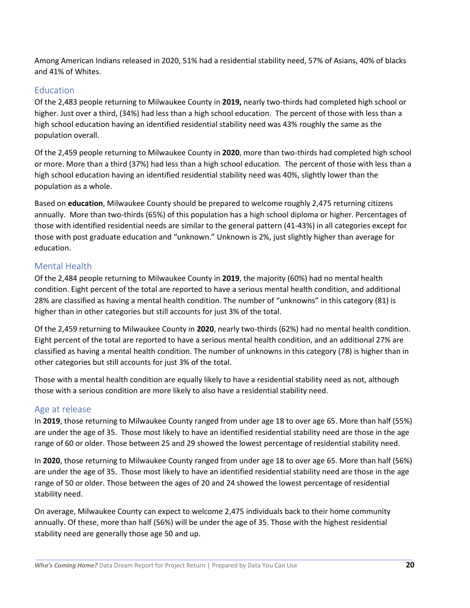Among American Indians released in 2020, 51% had a residential stability need, 57% of Asians, 40% of blacks and 41% of Whites.

## <span id="page-19-0"></span>Education

Of the 2,483 people returning to Milwaukee County in **2019,** nearly two-thirds had completed high school or higher. Just over a third, (34%) had less than a high school education. The percent of those with less than a high school education having an identified residential stability need was 43% roughly the same as the population overall.

Of the 2,459 people returning to Milwaukee County in **2020**, more than two-thirds had completed high school or more. More than a third (37%) had less than a high school education. The percent of those with less than a high school education having an identified residential stability need was 40%, slightly lower than the population as a whole.

Based on **education**, Milwaukee County should be prepared to welcome roughly 2,475 returning citizens annually. More than two-thirds (65%) of this population has a high school diploma or higher. Percentages of those with identified residential needs are similar to the general pattern (41-43%) in all categories except for those with post graduate education and "unknown." Unknown is 2%, just slightly higher than average for education.

## <span id="page-19-1"></span>Mental Health

Of the 2,484 people returning to Milwaukee County in **2019**, the majority (60%) had no mental health condition. Eight percent of the total are reported to have a serious mental health condition, and additional 28% are classified as having a mental health condition. The number of "unknowns" in this category (81) is higher than in other categories but still accounts for just 3% of the total.

Of the 2,459 returning to Milwaukee County in **2020**, nearly two-thirds (62%) had no mental health condition. Eight percent of the total are reported to have a serious mental health condition, and an additional 27% are classified as having a mental health condition. The number of unknowns in this category (78) is higher than in other categories but still accounts for just 3% of the total.

Those with a mental health condition are equally likely to have a residential stability need as not, although those with a serious condition are more likely to also have a residential stability need.

## <span id="page-19-2"></span>Age at release

In **2019**, those returning to Milwaukee County ranged from under age 18 to over age 65. More than half (55%) are under the age of 35. Those most likely to have an identified residential stability need are those in the age range of 60 or older. Those between 25 and 29 showed the lowest percentage of residential stability need.

In **2020**, those returning to Milwaukee County ranged from under age 18 to over age 65. More than half (56%) are under the age of 35. Those most likely to have an identified residential stability need are those in the age range of 50 or older. Those between the ages of 20 and 24 showed the lowest percentage of residential stability need.

On average, Milwaukee County can expect to welcome 2,475 individuals back to their home community annually. Of these, more than half (56%) will be under the age of 35. Those with the highest residential stability need are generally those age 50 and up.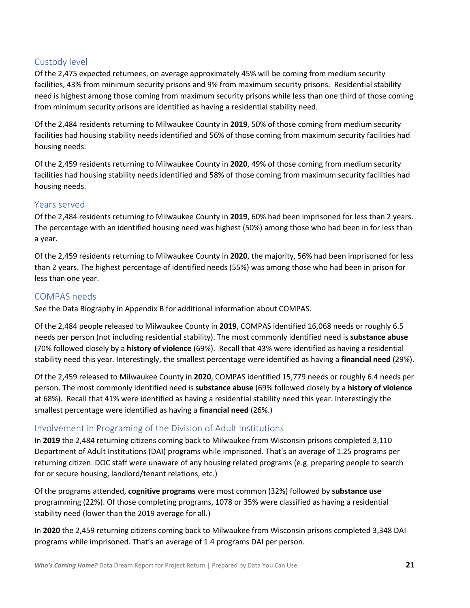## <span id="page-20-0"></span>Custody level

Of the 2,475 expected returnees, on average approximately 45% will be coming from medium security facilities, 43% from minimum security prisons and 9% from maximum security prisons. Residential stability need is highest among those coming from maximum security prisons while less than one third of those coming from minimum security prisons are identified as having a residential stability need.

Of the 2,484 residents returning to Milwaukee County in **2019**, 50% of those coming from medium security facilities had housing stability needs identified and 56% of those coming from maximum security facilities had housing needs.

Of the 2,459 residents returning to Milwaukee County in **2020**, 49% of those coming from medium security facilities had housing stability needs identified and 58% of those coming from maximum security facilities had housing needs.

## <span id="page-20-1"></span>Years served

Of the 2,484 residents returning to Milwaukee County in **2019**, 60% had been imprisoned for less than 2 years. The percentage with an identified housing need was highest (50%) among those who had been in for less than a year.

Of the 2,459 residents returning to Milwaukee County in **2020**, the majority, 56% had been imprisoned for less than 2 years. The highest percentage of identified needs (55%) was among those who had been in prison for less than one year.

## <span id="page-20-2"></span>COMPAS needs

See the Data Biography in Appendix B for additional information about COMPAS.

Of the 2,484 people released to Milwaukee County in **2019**, COMPAS identified 16,068 needs or roughly 6.5 needs per person (not including residential stability). The most commonly identified need is **substance abuse** (70% followed closely by a **history of violence** (69%). Recall that 43% were identified as having a residential stability need this year. Interestingly, the smallest percentage were identified as having a **financial need** (29%).

Of the 2,459 released to Milwaukee County in **2020**, COMPAS identified 15,779 needs or roughly 6.4 needs per person. The most commonly identified need is **substance abuse** (69% followed closely by a **history of violence** at 68%). Recall that 41% were identified as having a residential stability need this year. Interestingly the smallest percentage were identified as having a **financial need** (26%.)

## <span id="page-20-3"></span>Involvement in Programing of the Division of Adult Institutions

In **2019** the 2,484 returning citizens coming back to Milwaukee from Wisconsin prisons completed 3,110 Department of Adult Institutions (DAI) programs while imprisoned. That's an average of 1.25 programs per returning citizen. DOC staff were unaware of any housing related programs (e.g. preparing people to search for or secure housing, landlord/tenant relations, etc.)

Of the programs attended, **cognitive programs** were most common (32%) followed by **substance use** programming (22%). Of those completing programs, 1078 or 35% were classified as having a residential stability need (lower than the 2019 average for all.)

In **2020** the 2,459 returning citizens coming back to Milwaukee from Wisconsin prisons completed 3,348 DAI programs while imprisoned. That's an average of 1.4 programs DAI per person.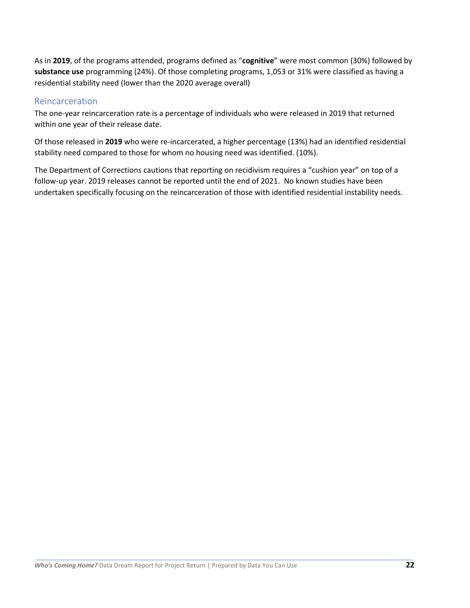As in **2019**, of the programs attended, programs defined as "**cognitive**" were most common (30%) followed by **substance use** programming (24%). Of those completing programs, 1,053 or 31% were classified as having a residential stability need (lower than the 2020 average overall)

#### <span id="page-21-0"></span>Reincarceration

The one-year reincarceration rate is a percentage of individuals who were released in 2019 that returned within one year of their release date.

Of those released in **2019** who were re-incarcerated, a higher percentage (13%) had an identified residential stability need compared to those for whom no housing need was identified. (10%).

The Department of Corrections cautions that reporting on recidivism requires a "cushion year" on top of a follow-up year. 2019 releases cannot be reported until the end of 2021. No known studies have been undertaken specifically focusing on the reincarceration of those with identified residential instability needs.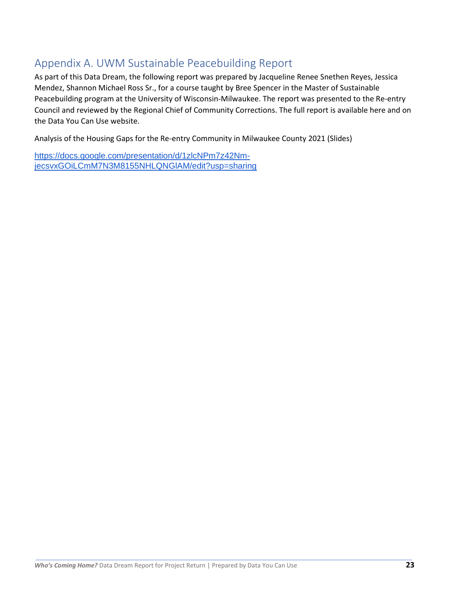## <span id="page-22-0"></span>Appendix A. UWM Sustainable Peacebuilding Report

As part of this Data Dream, the following report was prepared by Jacqueline Renee Snethen Reyes, Jessica Mendez, Shannon Michael Ross Sr., for a course taught by Bree Spencer in the Master of Sustainable Peacebuilding program at the University of Wisconsin-Milwaukee. The report was presented to the Re-entry Council and reviewed by the Regional Chief of Community Corrections. The full report is available here and on the Data You Can Use website.

Analysis of the Housing Gaps for the Re-entry Community in Milwaukee County 2021 (Slides)

[https://docs.google.com/presentation/d/1zlcNPm7z42Nm](https://docs.google.com/presentation/d/1zlcNPm7z42Nm-jecsvxGOiLCmM7N3M8155NHLQNGlAM/edit?usp=sharing)[jecsvxGOiLCmM7N3M8155NHLQNGlAM/edit?usp=sharing](https://docs.google.com/presentation/d/1zlcNPm7z42Nm-jecsvxGOiLCmM7N3M8155NHLQNGlAM/edit?usp=sharing)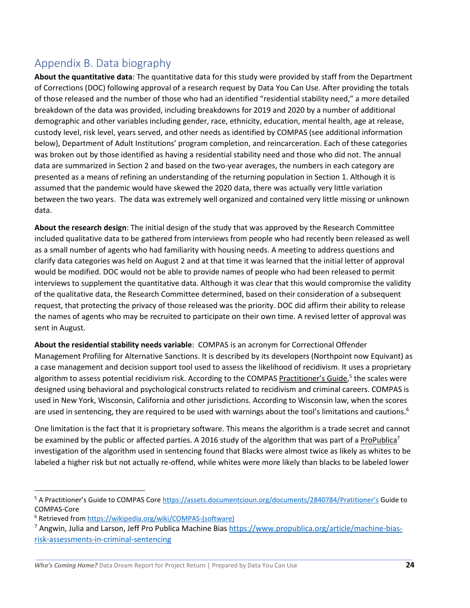# <span id="page-23-0"></span>Appendix B. Data biography

**About the quantitative data**: The quantitative data for this study were provided by staff from the Department of Corrections (DOC) following approval of a research request by Data You Can Use. After providing the totals of those released and the number of those who had an identified "residential stability need," a more detailed breakdown of the data was provided, including breakdowns for 2019 and 2020 by a number of additional demographic and other variables including gender, race, ethnicity, education, mental health, age at release, custody level, risk level, years served, and other needs as identified by COMPAS (see additional information below), Department of Adult Institutions' program completion, and reincarceration. Each of these categories was broken out by those identified as having a residential stability need and those who did not. The annual data are summarized in Section 2 and based on the two-year averages, the numbers in each category are presented as a means of refining an understanding of the returning population in Section 1. Although it is assumed that the pandemic would have skewed the 2020 data, there was actually very little variation between the two years. The data was extremely well organized and contained very little missing or unknown data.

**About the research design**: The initial design of the study that was approved by the Research Committee included qualitative data to be gathered from interviews from people who had recently been released as well as a small number of agents who had familiarity with housing needs. A meeting to address questions and clarify data categories was held on August 2 and at that time it was learned that the initial letter of approval would be modified. DOC would not be able to provide names of people who had been released to permit interviews to supplement the quantitative data. Although it was clear that this would compromise the validity of the qualitative data, the Research Committee determined, based on their consideration of a subsequent request, that protecting the privacy of those released was the priority. DOC did affirm their ability to release the names of agents who may be recruited to participate on their own time. A revised letter of approval was sent in August.

**About the residential stability needs variable**: COMPAS is an acronym for Correctional Offender Management Profiling for Alternative Sanctions. It is described by its developers (Northpoint now Equivant) as a case management and decision support tool used to assess the likelihood of recidivism. It uses a proprietary algorithm to assess potential recidivism risk. According to the COMPAS Practitioner's Guide,<sup>5</sup> the scales were designed using behavioral and psychological constructs related to recidivism and criminal careers. COMPAS is used in New York, Wisconsin, California and other jurisdictions. According to Wisconsin law, when the scores are used in sentencing, they are required to be used with warnings about the tool's limitations and cautions.<sup>6</sup>

One limitation is the fact that it is proprietary software. This means the algorithm is a trade secret and cannot be examined by the public or affected parties. A 2016 study of the algorithm that was part of a ProPublica<sup>7</sup> investigation of the algorithm used in sentencing found that Blacks were almost twice as likely as whites to be labeled a higher risk but not actually re-offend, while whites were more likely than blacks to be labeled lower

<sup>&</sup>lt;sup>5</sup> A Practitioner's Guide to COMPAS Core [https://assets.documentcioun.org/documents/2840784/Prati](https://assets.documentcioun.org/documents/2840784/Pratitioner’s)tioner's Guide to COMPAS-Core

<sup>6</sup> Retrieved from [https://wikipedia.org/wiki/COMPAS-\(software\)](https://wikipedia.org/wiki/COMPAS-(software)) 

<sup>&</sup>lt;sup>7</sup> Angwin, Julia and Larson, Jeff Pro Publica Machine Bias [https://www.propublica.org/article/machine-bias](https://www.propublica.org/article/machine-bias-risk-assessments-in-criminal-sentencing)[risk-assessments-in-criminal-sentencing](https://www.propublica.org/article/machine-bias-risk-assessments-in-criminal-sentencing)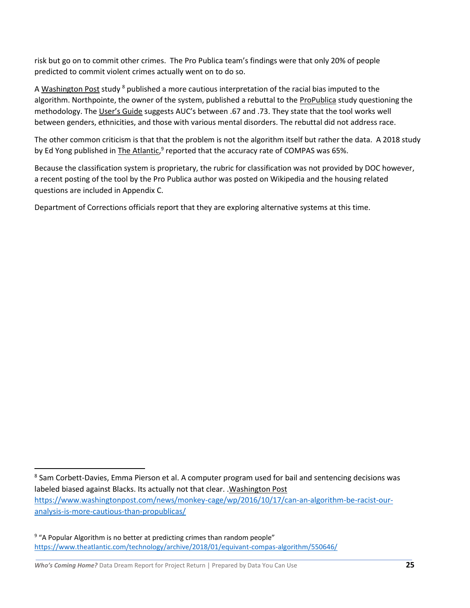risk but go on to commit other crimes. The Pro Publica team's findings were that only 20% of people predicted to commit violent crimes actually went on to do so.

A Washington Post study <sup>8</sup> published a more cautious interpretation of the racial bias imputed to the algorithm. Northpointe, the owner of the system, published a rebuttal to the ProPublica study questioning the methodology. The User's Guide suggests AUC's between .67 and .73. They state that the tool works well between genders, ethnicities, and those with various mental disorders. The rebuttal did not address race.

The other common criticism is that that the problem is not the algorithm itself but rather the data. A 2018 study by Ed Yong published in The Atlantic,<sup>9</sup> reported that the accuracy rate of COMPAS was 65%.

Because the classification system is proprietary, the rubric for classification was not provided by DOC however, a recent posting of the tool by the Pro Publica author was posted on Wikipedia and the housing related questions are included in Appendix C.

Department of Corrections officials report that they are exploring alternative systems at this time.

<sup>&</sup>lt;sup>8</sup> Sam Corbett-Davies, Emma Pierson et al. A computer program used for bail and sentencing decisions was labeled biased against Blacks. Its actually not that clear. .Washington Post [https://www.washingtonpost.com/news/monkey-cage/wp/2016/10/17/can-an-algorithm-be-racist-our](https://www.washingtonpost.com/news/monkey-cage/wp/2016/10/17/can-an-algorithm-be-racist-our-analysis-is-more-cautious-than-propublicas/)[analysis-is-more-cautious-than-propublicas/](https://www.washingtonpost.com/news/monkey-cage/wp/2016/10/17/can-an-algorithm-be-racist-our-analysis-is-more-cautious-than-propublicas/)

<sup>&</sup>lt;sup>9</sup> "A Popular Algorithm is no better at predicting crimes than random people" <https://www.theatlantic.com/technology/archive/2018/01/equivant-compas-algorithm/550646/>